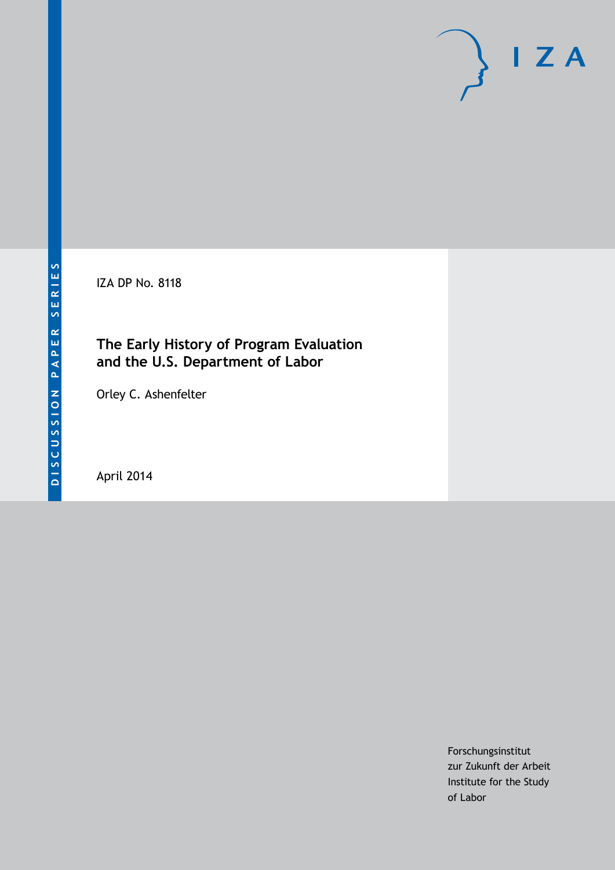IZA DP No. 8118

## **The Early History of Program Evaluation and the U.S. Department of Labor**

Orley C. Ashenfelter

April 2014

Forschungsinstitut zur Zukunft der Arbeit Institute for the Study of Labor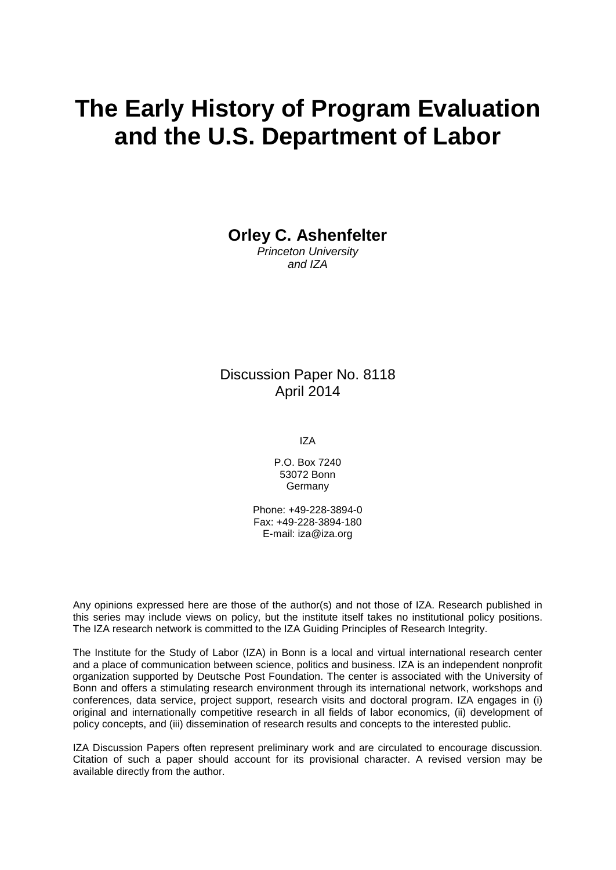# **The Early History of Program Evaluation and the U.S. Department of Labor**

**Orley C. Ashenfelter**

*Princeton University and IZA*

### Discussion Paper No. 8118 April 2014

IZA

P.O. Box 7240 53072 Bonn Germany

Phone: +49-228-3894-0 Fax: +49-228-3894-180 E-mail: [iza@iza.org](mailto:iza@iza.org)

Any opinions expressed here are those of the author(s) and not those of IZA. Research published in this series may include views on policy, but the institute itself takes no institutional policy positions. The IZA research network is committed to the IZA Guiding Principles of Research Integrity.

The Institute for the Study of Labor (IZA) in Bonn is a local and virtual international research center and a place of communication between science, politics and business. IZA is an independent nonprofit organization supported by Deutsche Post Foundation. The center is associated with the University of Bonn and offers a stimulating research environment through its international network, workshops and conferences, data service, project support, research visits and doctoral program. IZA engages in (i) original and internationally competitive research in all fields of labor economics, (ii) development of policy concepts, and (iii) dissemination of research results and concepts to the interested public.

<span id="page-1-0"></span>IZA Discussion Papers often represent preliminary work and are circulated to encourage discussion. Citation of such a paper should account for its provisional character. A revised version may be available directly from the author.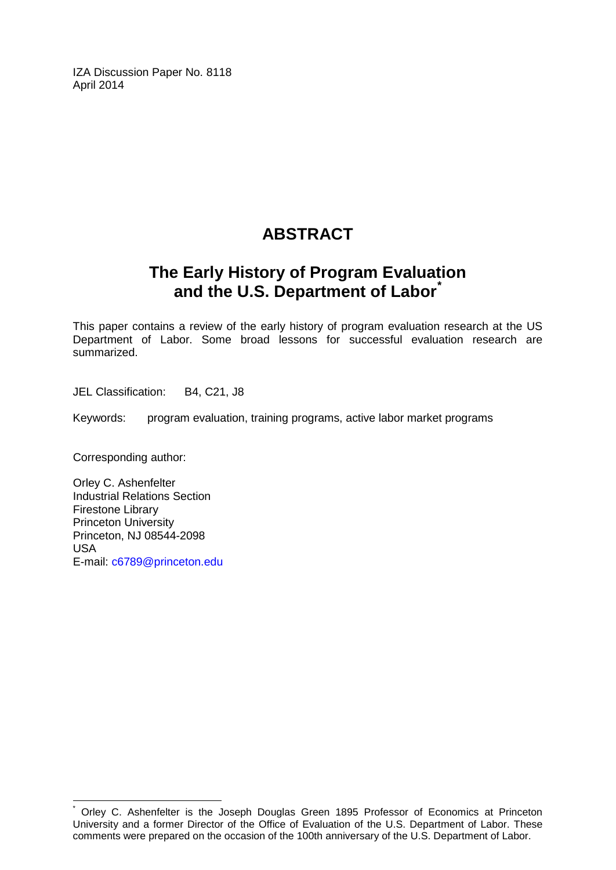IZA Discussion Paper No. 8118 April 2014

# **ABSTRACT**

# **The Early History of Program Evaluation and the U.S. Department of Labor[\\*](#page-1-0)**

This paper contains a review of the early history of program evaluation research at the US Department of Labor. Some broad lessons for successful evaluation research are summarized.

JEL Classification: B4, C21, J8

Keywords: program evaluation, training programs, active labor market programs

Corresponding author:

Orley C. Ashenfelter Industrial Relations Section Firestone Library Princeton University Princeton, NJ 08544-2098 USA E-mail: [c6789@princeton.edu](mailto:c6789@princeton.edu)

\* Orley C. Ashenfelter is the Joseph Douglas Green 1895 Professor of Economics at Princeton University and a former Director of the Office of Evaluation of the U.S. Department of Labor. These comments were prepared on the occasion of the 100th anniversary of the U.S. Department of Labor.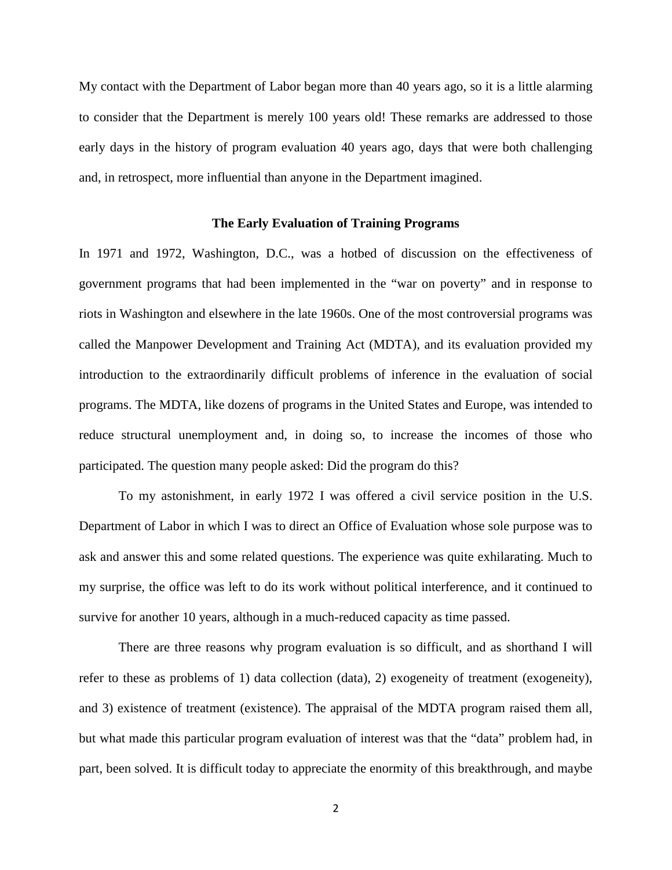My contact with the Department of Labor began more than 40 years ago, so it is a little alarming to consider that the Department is merely 100 years old! These remarks are addressed to those early days in the history of program evaluation 40 years ago, days that were both challenging and, in retrospect, more influential than anyone in the Department imagined.

#### **The Early Evaluation of Training Programs**

In 1971 and 1972, Washington, D.C., was a hotbed of discussion on the effectiveness of government programs that had been implemented in the "war on poverty" and in response to riots in Washington and elsewhere in the late 1960s. One of the most controversial programs was called the Manpower Development and Training Act (MDTA), and its evaluation provided my introduction to the extraordinarily difficult problems of inference in the evaluation of social programs. The MDTA, like dozens of programs in the United States and Europe, was intended to reduce structural unemployment and, in doing so, to increase the incomes of those who participated. The question many people asked: Did the program do this?

To my astonishment, in early 1972 I was offered a civil service position in the U.S. Department of Labor in which I was to direct an Office of Evaluation whose sole purpose was to ask and answer this and some related questions. The experience was quite exhilarating. Much to my surprise, the office was left to do its work without political interference, and it continued to survive for another 10 years, although in a much-reduced capacity as time passed.

There are three reasons why program evaluation is so difficult, and as shorthand I will refer to these as problems of 1) data collection (data), 2) exogeneity of treatment (exogeneity), and 3) existence of treatment (existence). The appraisal of the MDTA program raised them all, but what made this particular program evaluation of interest was that the "data" problem had, in part, been solved. It is difficult today to appreciate the enormity of this breakthrough, and maybe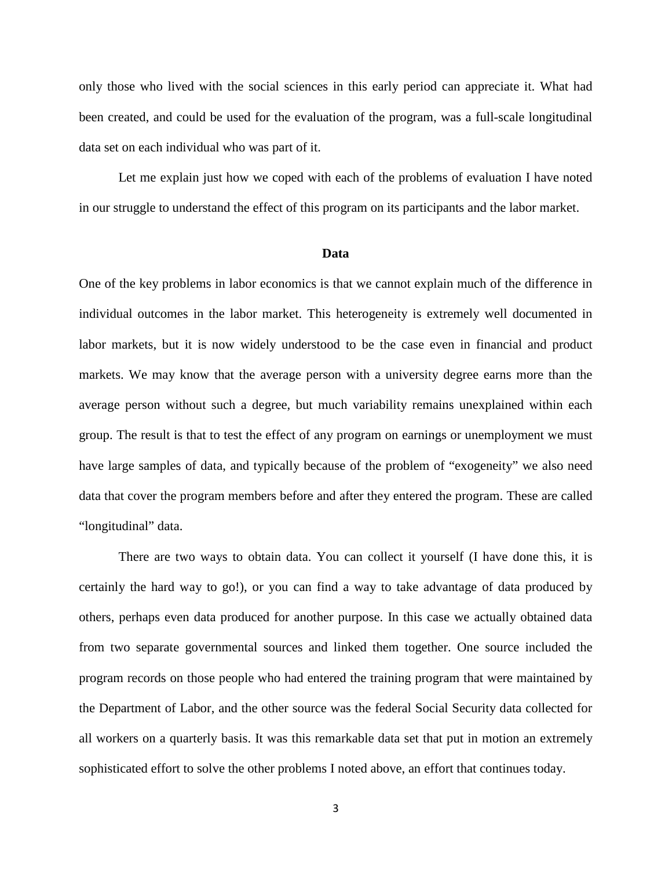only those who lived with the social sciences in this early period can appreciate it. What had been created, and could be used for the evaluation of the program, was a full-scale longitudinal data set on each individual who was part of it.

Let me explain just how we coped with each of the problems of evaluation I have noted in our struggle to understand the effect of this program on its participants and the labor market.

#### **Data**

One of the key problems in labor economics is that we cannot explain much of the difference in individual outcomes in the labor market. This heterogeneity is extremely well documented in labor markets, but it is now widely understood to be the case even in financial and product markets. We may know that the average person with a university degree earns more than the average person without such a degree, but much variability remains unexplained within each group. The result is that to test the effect of any program on earnings or unemployment we must have large samples of data, and typically because of the problem of "exogeneity" we also need data that cover the program members before and after they entered the program. These are called "longitudinal" data.

There are two ways to obtain data. You can collect it yourself (I have done this, it is certainly the hard way to go!), or you can find a way to take advantage of data produced by others, perhaps even data produced for another purpose. In this case we actually obtained data from two separate governmental sources and linked them together. One source included the program records on those people who had entered the training program that were maintained by the Department of Labor, and the other source was the federal Social Security data collected for all workers on a quarterly basis. It was this remarkable data set that put in motion an extremely sophisticated effort to solve the other problems I noted above, an effort that continues today.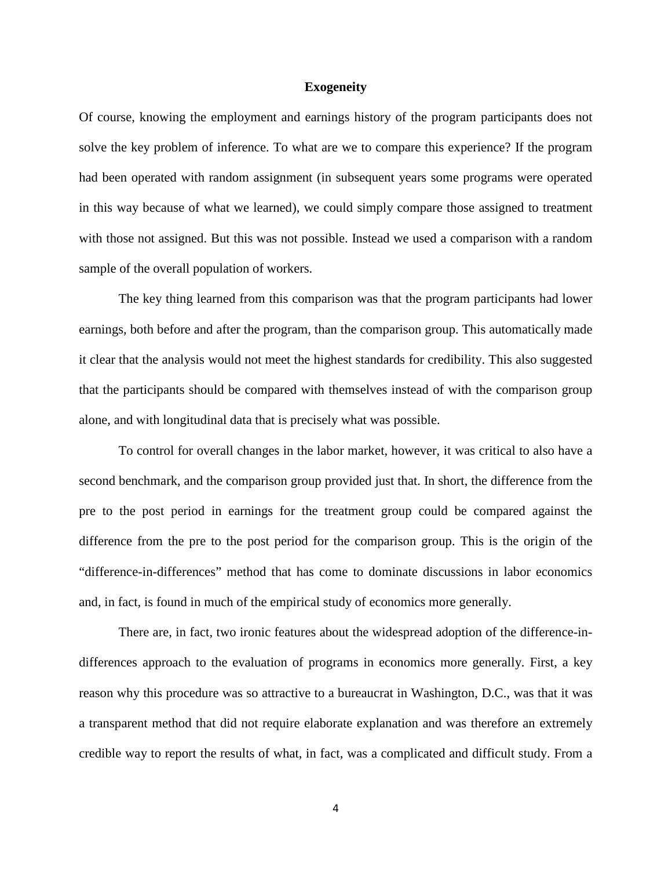#### **Exogeneity**

Of course, knowing the employment and earnings history of the program participants does not solve the key problem of inference. To what are we to compare this experience? If the program had been operated with random assignment (in subsequent years some programs were operated in this way because of what we learned), we could simply compare those assigned to treatment with those not assigned. But this was not possible. Instead we used a comparison with a random sample of the overall population of workers.

The key thing learned from this comparison was that the program participants had lower earnings, both before and after the program, than the comparison group. This automatically made it clear that the analysis would not meet the highest standards for credibility. This also suggested that the participants should be compared with themselves instead of with the comparison group alone, and with longitudinal data that is precisely what was possible.

To control for overall changes in the labor market, however, it was critical to also have a second benchmark, and the comparison group provided just that. In short, the difference from the pre to the post period in earnings for the treatment group could be compared against the difference from the pre to the post period for the comparison group. This is the origin of the "difference-in-differences" method that has come to dominate discussions in labor economics and, in fact, is found in much of the empirical study of economics more generally.

There are, in fact, two ironic features about the widespread adoption of the difference-indifferences approach to the evaluation of programs in economics more generally. First, a key reason why this procedure was so attractive to a bureaucrat in Washington, D.C., was that it was a transparent method that did not require elaborate explanation and was therefore an extremely credible way to report the results of what, in fact, was a complicated and difficult study. From a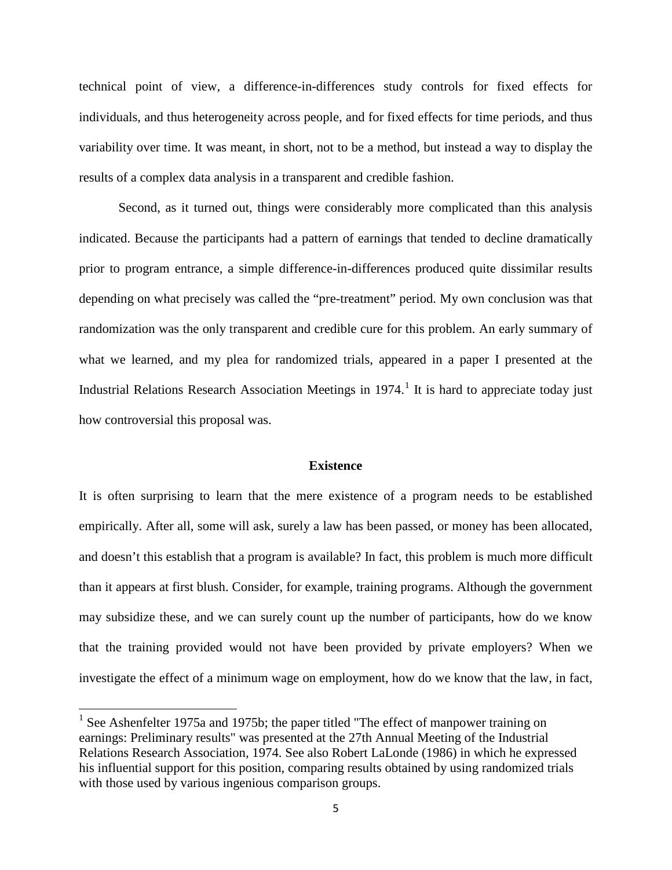technical point of view, a difference-in-differences study controls for fixed effects for individuals, and thus heterogeneity across people, and for fixed effects for time periods, and thus variability over time. It was meant, in short, not to be a method, but instead a way to display the results of a complex data analysis in a transparent and credible fashion.

Second, as it turned out, things were considerably more complicated than this analysis indicated. Because the participants had a pattern of earnings that tended to decline dramatically prior to program entrance, a simple difference-in-differences produced quite dissimilar results depending on what precisely was called the "pre-treatment" period. My own conclusion was that randomization was the only transparent and credible cure for this problem. An early summary of what we learned, and my plea for randomized trials, appeared in a paper I presented at the Industrial Relations Research Association Meetings in 1974.<sup>1</sup> It is hard to appreciate today just how controversial this proposal was.

#### **Existence**

It is often surprising to learn that the mere existence of a program needs to be established empirically. After all, some will ask, surely a law has been passed, or money has been allocated, and doesn't this establish that a program is available? In fact, this problem is much more difficult than it appears at first blush. Consider, for example, training programs. Although the government may subsidize these, and we can surely count up the number of participants, how do we know that the training provided would not have been provided by private employers? When we investigate the effect of a minimum wage on employment, how do we know that the law, in fact,

<span id="page-6-0"></span><sup>&</sup>lt;sup>1</sup> See Ashenfelter 1975a and 1975b; the paper titled "The effect of manpower training on earnings: Preliminary results" was presented at the 27th Annual Meeting of the Industrial Relations Research Association, 1974. See also Robert LaLonde (1986) in which he expressed his influential support for this position, comparing results obtained by using randomized trials with those used by various ingenious comparison groups.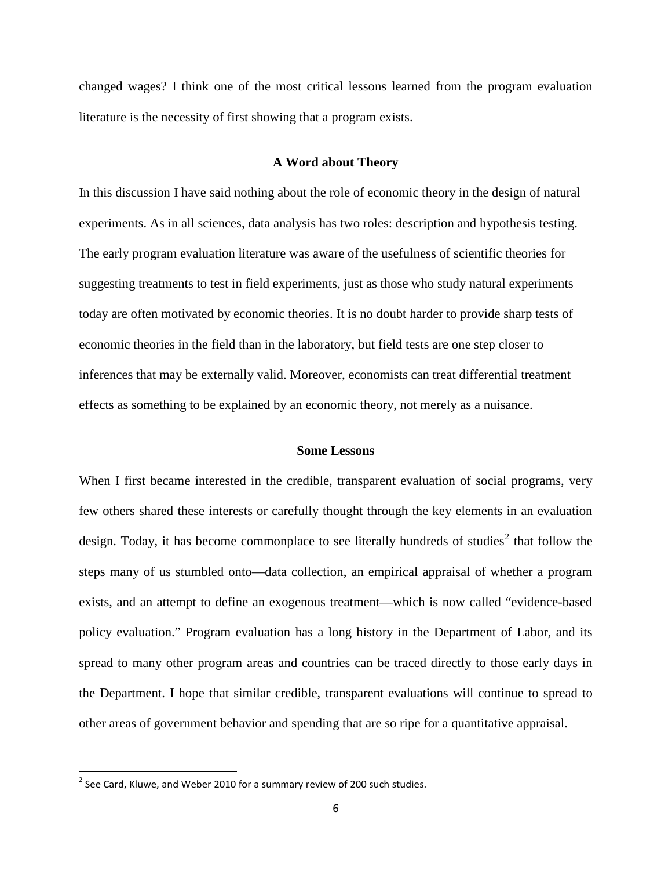changed wages? I think one of the most critical lessons learned from the program evaluation literature is the necessity of first showing that a program exists.

#### **A Word about Theory**

In this discussion I have said nothing about the role of economic theory in the design of natural experiments. As in all sciences, data analysis has two roles: description and hypothesis testing. The early program evaluation literature was aware of the usefulness of scientific theories for suggesting treatments to test in field experiments, just as those who study natural experiments today are often motivated by economic theories. It is no doubt harder to provide sharp tests of economic theories in the field than in the laboratory, but field tests are one step closer to inferences that may be externally valid. Moreover, economists can treat differential treatment effects as something to be explained by an economic theory, not merely as a nuisance.

#### **Some Lessons**

When I first became interested in the credible, transparent evaluation of social programs, very few others shared these interests or carefully thought through the key elements in an evaluation design. Today, it has become commonplace to see literally hundreds of studies<sup>[2](#page-6-0)</sup> that follow the steps many of us stumbled onto—data collection, an empirical appraisal of whether a program exists, and an attempt to define an exogenous treatment—which is now called "evidence-based policy evaluation." Program evaluation has a long history in the Department of Labor, and its spread to many other program areas and countries can be traced directly to those early days in the Department. I hope that similar credible, transparent evaluations will continue to spread to other areas of government behavior and spending that are so ripe for a quantitative appraisal.

 $2^2$  See Card, Kluwe, and Weber 2010 for a summary review of 200 such studies.